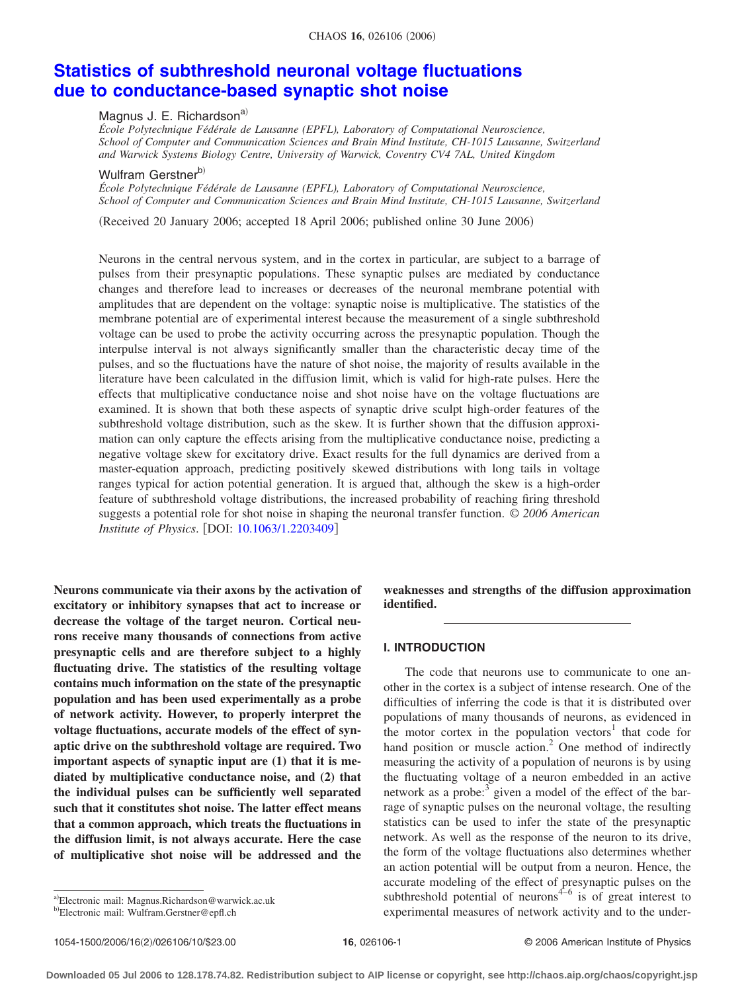#### CHAOS **16**, 026106 (2006)

# **[Statistics of subthreshold neuronal voltage fluctuations](http://dx.doi.org/10.1063/1.2203409) [due to conductance-based synaptic shot noise](http://dx.doi.org/10.1063/1.2203409)**

## Magnus J. E. Richardson<sup>a)</sup>

*École Polytechnique Fédérale de Lausanne (EPFL), Laboratory of Computational Neuroscience, School of Computer and Communication Sciences and Brain Mind Institute, CH-1015 Lausanne, Switzerland and Warwick Systems Biology Centre, University of Warwick, Coventry CV4 7AL, United Kingdom*

# Wulfram Gerstnerb)

*École Polytechnique Fédérale de Lausanne (EPFL), Laboratory of Computational Neuroscience, School of Computer and Communication Sciences and Brain Mind Institute, CH-1015 Lausanne, Switzerland*

Received 20 January 2006; accepted 18 April 2006; published online 30 June 2006-

Neurons in the central nervous system, and in the cortex in particular, are subject to a barrage of pulses from their presynaptic populations. These synaptic pulses are mediated by conductance changes and therefore lead to increases or decreases of the neuronal membrane potential with amplitudes that are dependent on the voltage: synaptic noise is multiplicative. The statistics of the membrane potential are of experimental interest because the measurement of a single subthreshold voltage can be used to probe the activity occurring across the presynaptic population. Though the interpulse interval is not always significantly smaller than the characteristic decay time of the pulses, and so the fluctuations have the nature of shot noise, the majority of results available in the literature have been calculated in the diffusion limit, which is valid for high-rate pulses. Here the effects that multiplicative conductance noise and shot noise have on the voltage fluctuations are examined. It is shown that both these aspects of synaptic drive sculpt high-order features of the subthreshold voltage distribution, such as the skew. It is further shown that the diffusion approximation can only capture the effects arising from the multiplicative conductance noise, predicting a negative voltage skew for excitatory drive. Exact results for the full dynamics are derived from a master-equation approach, predicting positively skewed distributions with long tails in voltage ranges typical for action potential generation. It is argued that, although the skew is a high-order feature of subthreshold voltage distributions, the increased probability of reaching firing threshold suggests a potential role for shot noise in shaping the neuronal transfer function. © *2006 American Institute of Physics.* [DOI: [10.1063/1.2203409](http://dx.doi.org/10.1063/1.2203409)]

**Neurons communicate via their axons by the activation of excitatory or inhibitory synapses that act to increase or decrease the voltage of the target neuron. Cortical neurons receive many thousands of connections from active presynaptic cells and are therefore subject to a highly fluctuating drive. The statistics of the resulting voltage contains much information on the state of the presynaptic population and has been used experimentally as a probe of network activity. However, to properly interpret the voltage fluctuations, accurate models of the effect of synaptic drive on the subthreshold voltage are required. Two important aspects of synaptic input are (1) that it is mediated by multiplicative conductance noise, and (2) that the individual pulses can be sufficiently well separated such that it constitutes shot noise. The latter effect means that a common approach, which treats the fluctuations in the diffusion limit, is not always accurate. Here the case of multiplicative shot noise will be addressed and the** **weaknesses and strengths of the diffusion approximation identified.**

#### **I. INTRODUCTION**

The code that neurons use to communicate to one another in the cortex is a subject of intense research. One of the difficulties of inferring the code is that it is distributed over populations of many thousands of neurons, as evidenced in the motor cortex in the population vectors $1$  that code for hand position or muscle action.<sup>2</sup> One method of indirectly measuring the activity of a population of neurons is by using the fluctuating voltage of a neuron embedded in an active network as a probe: $3$  given a model of the effect of the barrage of synaptic pulses on the neuronal voltage, the resulting statistics can be used to infer the state of the presynaptic network. As well as the response of the neuron to its drive, the form of the voltage fluctuations also determines whether an action potential will be output from a neuron. Hence, the accurate modeling of the effect of presynaptic pulses on the subthreshold potential of neurons $4-6$  is of great interest to experimental measures of network activity and to the under-

1054-1500/2006/16(2)/026106/10/\$23.00

a)Electronic mail: Magnus.Richardson@warwick.ac.uk

b)Electronic mail: Wulfram.Gerstner@epfl.ch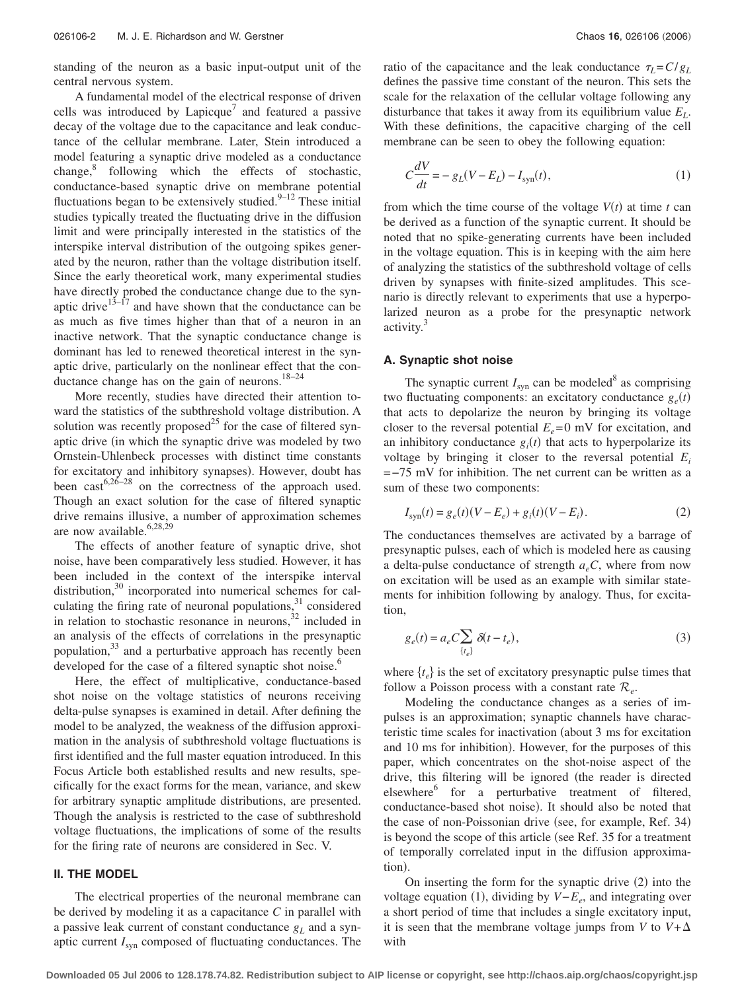standing of the neuron as a basic input-output unit of the central nervous system.

A fundamental model of the electrical response of driven cells was introduced by Lapicque<sup>7</sup> and featured a passive decay of the voltage due to the capacitance and leak conductance of the cellular membrane. Later, Stein introduced a model featuring a synaptic drive modeled as a conductance change,<sup>8</sup> following which the effects of stochastic, conductance-based synaptic drive on membrane potential fluctuations began to be extensively studied. $9-12$  These initial studies typically treated the fluctuating drive in the diffusion limit and were principally interested in the statistics of the interspike interval distribution of the outgoing spikes generated by the neuron, rather than the voltage distribution itself. Since the early theoretical work, many experimental studies have directly probed the conductance change due to the synaptic drive<sup>13–17</sup> and have shown that the conductance can be as much as five times higher than that of a neuron in an inactive network. That the synaptic conductance change is dominant has led to renewed theoretical interest in the synaptic drive, particularly on the nonlinear effect that the conductance change has on the gain of neurons. $18-24$ 

More recently, studies have directed their attention toward the statistics of the subthreshold voltage distribution. A solution was recently proposed<sup>25</sup> for the case of filtered synaptic drive (in which the synaptic drive was modeled by two Ornstein-Uhlenbeck processes with distinct time constants for excitatory and inhibitory synapses). However, doubt has been  $\text{cast}^{6,26-28}$  on the correctness of the approach used. Though an exact solution for the case of filtered synaptic drive remains illusive, a number of approximation schemes are now available.<sup>6,28,29</sup>

The effects of another feature of synaptic drive, shot noise, have been comparatively less studied. However, it has been included in the context of the interspike interval distribution,<sup>30</sup> incorporated into numerical schemes for calculating the firing rate of neuronal populations, $31$  considered in relation to stochastic resonance in neurons,<sup>32</sup> included in an analysis of the effects of correlations in the presynaptic population,<sup>33</sup> and a perturbative approach has recently been developed for the case of a filtered synaptic shot noise.<sup>6</sup>

Here, the effect of multiplicative, conductance-based shot noise on the voltage statistics of neurons receiving delta-pulse synapses is examined in detail. After defining the model to be analyzed, the weakness of the diffusion approximation in the analysis of subthreshold voltage fluctuations is first identified and the full master equation introduced. In this Focus Article both established results and new results, specifically for the exact forms for the mean, variance, and skew for arbitrary synaptic amplitude distributions, are presented. Though the analysis is restricted to the case of subthreshold voltage fluctuations, the implications of some of the results for the firing rate of neurons are considered in Sec. V.

## **II. THE MODEL**

The electrical properties of the neuronal membrane can be derived by modeling it as a capacitance *C* in parallel with a passive leak current of constant conductance  $g_L$  and a synaptic current *I*syn composed of fluctuating conductances. The

ratio of the capacitance and the leak conductance  $\tau_L = C/g_L$ defines the passive time constant of the neuron. This sets the scale for the relaxation of the cellular voltage following any disturbance that takes it away from its equilibrium value  $E<sub>L</sub>$ . With these definitions, the capacitive charging of the cell membrane can be seen to obey the following equation:

$$
C\frac{dV}{dt} = -g_L(V - E_L) - I_{syn}(t),
$$
\n(1)

from which the time course of the voltage  $V(t)$  at time  $t$  can be derived as a function of the synaptic current. It should be noted that no spike-generating currents have been included in the voltage equation. This is in keeping with the aim here of analyzing the statistics of the subthreshold voltage of cells driven by synapses with finite-sized amplitudes. This scenario is directly relevant to experiments that use a hyperpolarized neuron as a probe for the presynaptic network activity.<sup>3</sup>

#### **A. Synaptic shot noise**

The synaptic current  $I_{syn}$  can be modeled<sup>8</sup> as comprising two fluctuating components: an excitatory conductance  $g_e(t)$ that acts to depolarize the neuron by bringing its voltage closer to the reversal potential  $E_e$ =0 mV for excitation, and an inhibitory conductance  $g_i(t)$  that acts to hyperpolarize its voltage by bringing it closer to the reversal potential *Ei* =−75 mV for inhibition. The net current can be written as a sum of these two components:

$$
I_{\rm syn}(t) = g_e(t)(V - E_e) + g_i(t)(V - E_i).
$$
 (2)

The conductances themselves are activated by a barrage of presynaptic pulses, each of which is modeled here as causing a delta-pulse conductance of strength  $a_eC$ , where from now on excitation will be used as an example with similar statements for inhibition following by analogy. Thus, for excitation,

$$
g_e(t) = a_e C \sum_{\{t_e\}} \delta(t - t_e), \tag{3}
$$

where  $\{t_e\}$  is the set of excitatory presynaptic pulse times that follow a Poisson process with a constant rate  $\mathcal{R}_{e}$ .

Modeling the conductance changes as a series of impulses is an approximation; synaptic channels have characteristic time scales for inactivation (about 3 ms for excitation and 10 ms for inhibition). However, for the purposes of this paper, which concentrates on the shot-noise aspect of the drive, this filtering will be ignored (the reader is directed elsewhere<sup>6</sup> for a perturbative treatment of filtered, conductance-based shot noise). It should also be noted that the case of non-Poissonian drive (see, for example, Ref. 34) is beyond the scope of this article (see Ref. 35 for a treatment of temporally correlated input in the diffusion approximation).

On inserting the form for the synaptic drive (2) into the voltage equation (1), dividing by  $V-E_e$ , and integrating over a short period of time that includes a single excitatory input, it is seen that the membrane voltage jumps from *V* to  $V + \Delta$ with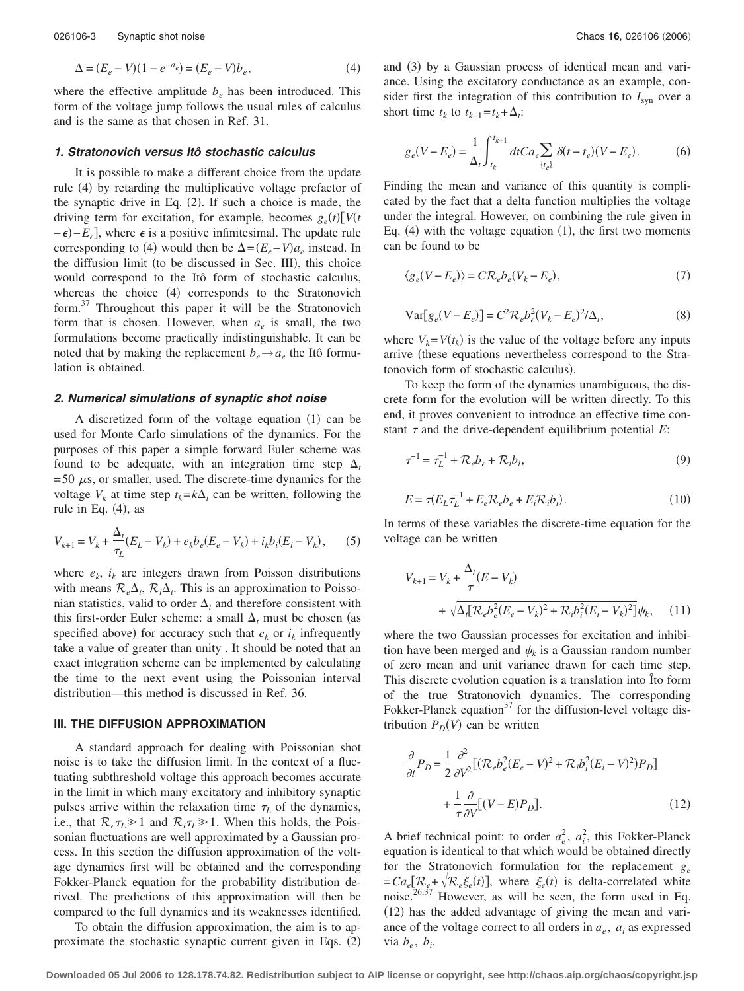where the effective amplitude  $b_e$  has been introduced. This form of the voltage jump follows the usual rules of calculus and is the same as that chosen in Ref. 31.

#### *1. Stratonovich versus Itô stochastic calculus*

It is possible to make a different choice from the update rule (4) by retarding the multiplicative voltage prefactor of the synaptic drive in Eq.  $(2)$ . If such a choice is made, the driving term for excitation, for example, becomes  $g_e(t) \left[ V(t) \right]$  $-\epsilon$ ) $-E_e$ , where  $\epsilon$  is a positive infinitesimal. The update rule corresponding to (4) would then be  $\Delta = (E_e - V)a_e$  instead. In the diffusion limit (to be discussed in Sec. III), this choice would correspond to the Itô form of stochastic calculus, whereas the choice (4) corresponds to the Stratonovich form.<sup>37</sup> Throughout this paper it will be the Stratonovich form that is chosen. However, when  $a_e$  is small, the two formulations become practically indistinguishable. It can be noted that by making the replacement  $b_e \rightarrow a_e$  the Itô formulation is obtained.

#### *2. Numerical simulations of synaptic shot noise*

A discretized form of the voltage equation (1) can be used for Monte Carlo simulations of the dynamics. For the purposes of this paper a simple forward Euler scheme was found to be adequate, with an integration time step  $\Delta_t$  $= 50 \mu s$ , or smaller, used. The discrete-time dynamics for the voltage  $V_k$  at time step  $t_k = k\Delta_t$  can be written, following the rule in Eq.  $(4)$ , as

$$
V_{k+1} = V_k + \frac{\Delta_t}{\tau_L} (E_L - V_k) + e_k b_e (E_e - V_k) + i_k b_i (E_i - V_k),
$$
 (5)

where  $e_k$ ,  $i_k$  are integers drawn from Poisson distributions with means  $\mathcal{R}_e \Delta_t$ ,  $\mathcal{R}_i \Delta_t$ . This is an approximation to Poissonian statistics, valid to order  $\Delta_t$  and therefore consistent with this first-order Euler scheme: a small  $\Delta_t$  must be chosen (as specified above) for accuracy such that  $e_k$  or  $i_k$  infrequently take a value of greater than unity . It should be noted that an exact integration scheme can be implemented by calculating the time to the next event using the Poissonian interval distribution—this method is discussed in Ref. 36.

#### **III. THE DIFFUSION APPROXIMATION**

A standard approach for dealing with Poissonian shot noise is to take the diffusion limit. In the context of a fluctuating subthreshold voltage this approach becomes accurate in the limit in which many excitatory and inhibitory synaptic pulses arrive within the relaxation time  $\tau_L$  of the dynamics, i.e., that  $\mathcal{R}_{e} \tau_{L} \geq 1$  and  $\mathcal{R}_{i} \tau_{L} \geq 1$ . When this holds, the Poissonian fluctuations are well approximated by a Gaussian process. In this section the diffusion approximation of the voltage dynamics first will be obtained and the corresponding Fokker-Planck equation for the probability distribution derived. The predictions of this approximation will then be compared to the full dynamics and its weaknesses identified.

To obtain the diffusion approximation, the aim is to approximate the stochastic synaptic current given in Eqs. (2)

and (3) by a Gaussian process of identical mean and variance. Using the excitatory conductance as an example, consider first the integration of this contribution to  $I_{syn}$  over a short time  $t_k$  to  $t_{k+1} = t_k + \Delta_i$ :

$$
g_e(V - E_e) = \frac{1}{\Delta_t} \int_{t_k}^{t_{k+1}} dt C a_e \sum_{\{t_e\}} \delta(t - t_e)(V - E_e).
$$
 (6)

Finding the mean and variance of this quantity is complicated by the fact that a delta function multiplies the voltage under the integral. However, on combining the rule given in Eq.  $(4)$  with the voltage equation  $(1)$ , the first two moments can be found to be

$$
\langle g_e(V - E_e) \rangle = C \mathcal{R}_e b_e (V_k - E_e), \tag{7}
$$

$$
Var[g_e(V - E_e)] = C^2 \mathcal{R}_e b_e^2 (V_k - E_e)^2 / \Delta_t,
$$
\n(8)

where  $V_k = V(t_k)$  is the value of the voltage before any inputs arrive (these equations nevertheless correspond to the Stratonovich form of stochastic calculus).

To keep the form of the dynamics unambiguous, the discrete form for the evolution will be written directly. To this end, it proves convenient to introduce an effective time constant  $\tau$  and the drive-dependent equilibrium potential  $E$ :

$$
\tau^{-1} = \tau_L^{-1} + \mathcal{R}_e b_e + \mathcal{R}_i b_i,\tag{9}
$$

$$
E = \tau (E_L \tau_L^{-1} + E_e \mathcal{R}_e b_e + E_i \mathcal{R}_i b_i).
$$
 (10)

In terms of these variables the discrete-time equation for the voltage can be written

$$
V_{k+1} = V_k + \frac{\Delta_t}{\tau} (E - V_k)
$$
  
+  $\sqrt{\Delta_t [\mathcal{R}_e b_e^2 (E_e - V_k)^2 + \mathcal{R}_i b_i^2 (E_i - V_k)^2]} \psi_k$ , (11)

where the two Gaussian processes for excitation and inhibition have been merged and  $\psi_k$  is a Gaussian random number of zero mean and unit variance drawn for each time step. This discrete evolution equation is a translation into Îto form of the true Stratonovich dynamics. The corresponding Fokker-Planck equation<sup>37</sup> for the diffusion-level voltage distribution  $P_D(V)$  can be written

$$
\frac{\partial}{\partial t}P_D = \frac{1}{2} \frac{\partial^2}{\partial V^2} \left[ (\mathcal{R}_e b_e^2 (E_e - V)^2 + \mathcal{R}_i b_i^2 (E_i - V)^2) P_D \right] \n+ \frac{1}{\tau} \frac{\partial}{\partial V} \left[ (V - E) P_D \right].
$$
\n(12)

A brief technical point: to order  $a_e^2$ ,  $a_i^2$ , this Fokker-Planck equation is identical to that which would be obtained directly for the Stratonovich formulation for the replacement *ge*  $=Ca_e[\frac{R_e}{2\epsilon_0^2+\sqrt{R_e}\xi_e}(t)]$ , where  $\xi_e(t)$  is delta-correlated white noise.26,37 However, as will be seen, the form used in Eq. (12) has the added advantage of giving the mean and variance of the voltage correct to all orders in  $a_e$ ,  $a_i$  as expressed via  $b_e$ ,  $b_i$ .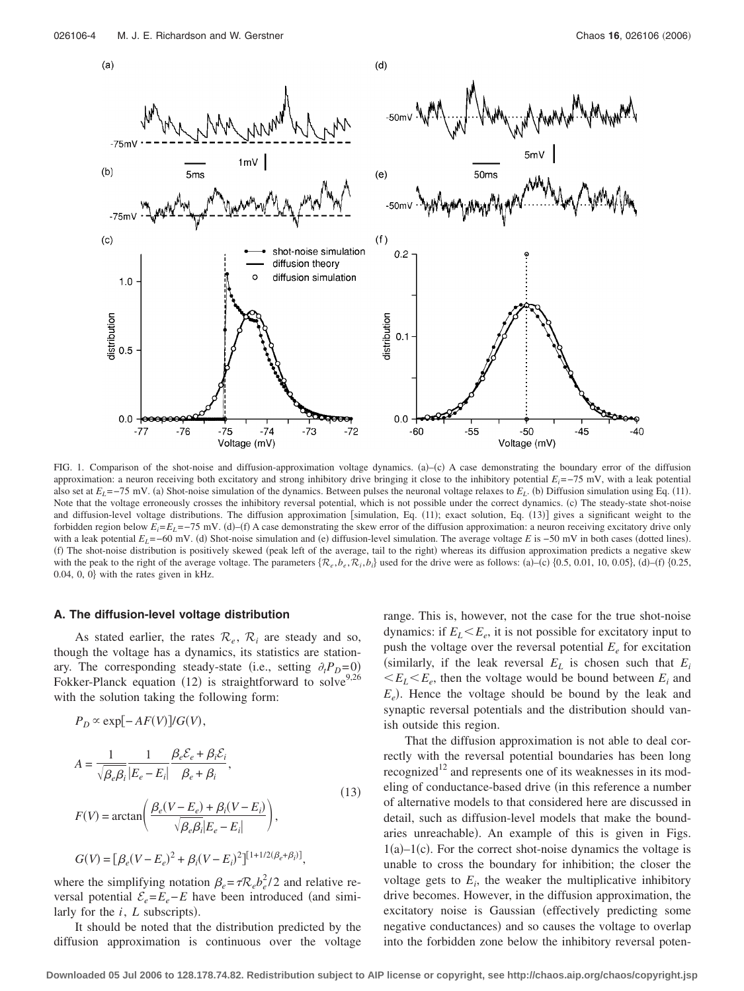

FIG. 1. Comparison of the shot-noise and diffusion-approximation voltage dynamics. (a)–(c) A case demonstrating the boundary error of the diffusion approximation: a neuron receiving both excitatory and strong inhibitory drive bringing it close to the inhibitory potential *Ei*=−75 mV, with a leak potential also set at  $E_L = -75$  mV. (a) Shot-noise simulation of the dynamics. Between pulses the neuronal voltage relaxes to  $E_L$ . (b) Diffusion simulation using Eq. (11). Note that the voltage erroneously crosses the inhibitory reversal potential, which is not possible under the correct dynamics. (c) The steady-state shot-noise and diffusion-level voltage distributions. The diffusion approximation [simulation, Eq. (11); exact solution, Eq. (13)] gives a significant weight to the forbidden region below  $E_i = E_L = -75$  mV. (d)–(f) A case demonstrating the skew error of the diffusion approximation: a neuron receiving excitatory drive only with a leak potential  $E_L = -60$  mV. (d) Shot-noise simulation and (e) diffusion-level simulation. The average voltage *E* is  $-50$  mV in both cases (dotted lines). (f) The shot-noise distribution is positively skewed (peak left of the average, tail to the right) whereas its diffusion approximation predicts a negative skew with the peak to the right of the average voltage. The parameters  $\{\mathcal{R}_e, b_e, \mathcal{R}_i, b_i\}$  used for the drive were as follows: (a)–(c)  $\{0.5, 0.01, 10, 0.05\}$ , (d)–(f)  $\{0.25, 0.01, 0.05\}$  $0.04$ ,  $0$ ,  $0$ } with the rates given in kHz.

#### **A. The diffusion-level voltage distribution**

As stated earlier, the rates  $\mathcal{R}_e$ ,  $\mathcal{R}_i$  are steady and so, though the voltage has a dynamics, its statistics are stationary. The corresponding steady-state (i.e., setting  $\partial_t P_D = 0$ ) Fokker-Planck equation (12) is straightforward to solve<sup>9,26</sup> with the solution taking the following form:

$$
P_D \propto \exp[-AF(V)]/G(V),
$$
  
\n
$$
A = \frac{1}{\sqrt{\beta_e \beta_i}} \frac{1}{|E_e - E_i|} \frac{\beta_e \mathcal{E}_e + \beta_i \mathcal{E}_i}{\beta_e + \beta_i},
$$
  
\n
$$
F(V) = \arctan\left(\frac{\beta_e (V - E_e) + \beta_i (V - E_i)}{\sqrt{\beta_e \beta_i |E_e - E_i|}}\right),
$$
  
\n
$$
G(V) = [\beta_e (V - E_e)^2 + \beta_i (V - E_i)^2]^{[1 + 1/2(\beta_e + \beta_i)]},
$$
\n(13)

where the simplifying notation  $\beta_e = \tau R_e b_e^2 / 2$  and relative reversal potential  $\mathcal{E}_e = E_e - E$  have been introduced (and similarly for the  $i$ ,  $L$  subscripts).

It should be noted that the distribution predicted by the diffusion approximation is continuous over the voltage

range. This is, however, not the case for the true shot-noise dynamics: if  $E_L \le E_e$ , it is not possible for excitatory input to push the voltage over the reversal potential  $E_e$  for excitation (similarly, if the leak reversal  $E_L$  is chosen such that  $E_i$  $E_L E_e$ , then the voltage would be bound between  $E_i$  and  $E_e$ ). Hence the voltage should be bound by the leak and synaptic reversal potentials and the distribution should vanish outside this region.

That the diffusion approximation is not able to deal correctly with the reversal potential boundaries has been long recognized<sup>12</sup> and represents one of its weaknesses in its modeling of conductance-based drive (in this reference a number of alternative models to that considered here are discussed in detail, such as diffusion-level models that make the boundaries unreachable). An example of this is given in Figs.  $1(a)-1(c)$ . For the correct shot-noise dynamics the voltage is unable to cross the boundary for inhibition; the closer the voltage gets to  $E_i$ , the weaker the multiplicative inhibitory drive becomes. However, in the diffusion approximation, the excitatory noise is Gaussian (effectively predicting some negative conductances) and so causes the voltage to overlap into the forbidden zone below the inhibitory reversal poten-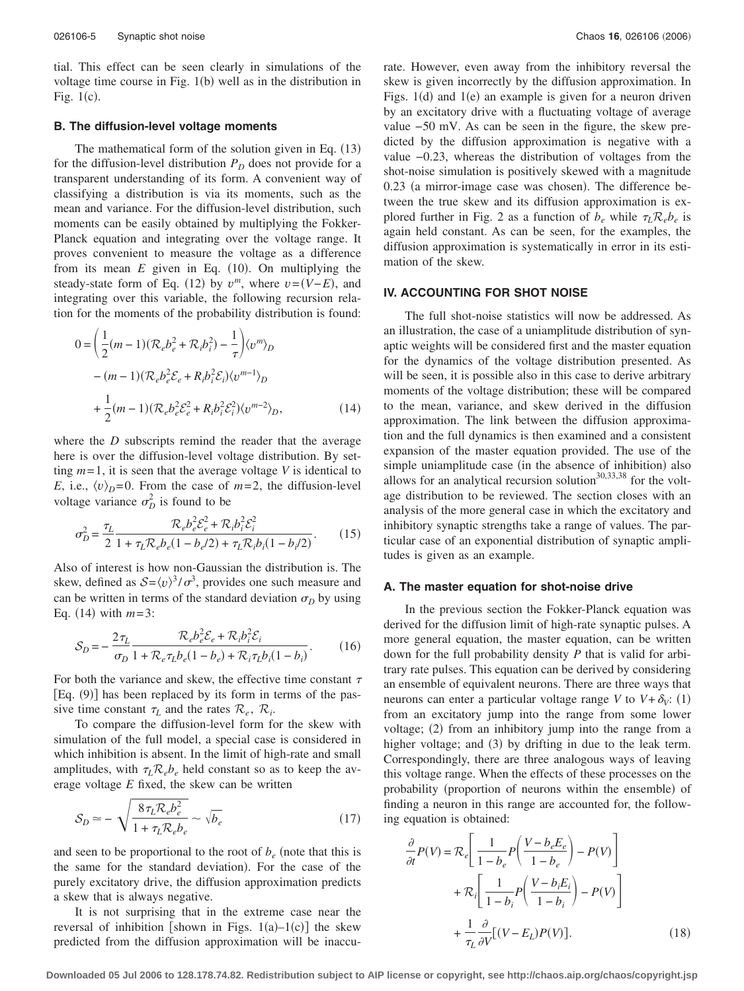tial. This effect can be seen clearly in simulations of the voltage time course in Fig. 1(b) well as in the distribution in Fig.  $1(c)$ .

#### **B. The diffusion-level voltage moments**

The mathematical form of the solution given in Eq.  $(13)$ for the diffusion-level distribution  $P_D$  does not provide for a transparent understanding of its form. A convenient way of classifying a distribution is via its moments, such as the mean and variance. For the diffusion-level distribution, such moments can be easily obtained by multiplying the Fokker-Planck equation and integrating over the voltage range. It proves convenient to measure the voltage as a difference from its mean  $E$  given in Eq.  $(10)$ . On multiplying the steady-state form of Eq. (12) by  $v^m$ , where  $v = (V - E)$ , and integrating over this variable, the following recursion relation for the moments of the probability distribution is found:

$$
0 = \left(\frac{1}{2}(m-1)(\mathcal{R}_e b_e^2 + \mathcal{R}_i b_i^2) - \frac{1}{\tau}\right) \langle v^m \rangle_D - (m-1)(\mathcal{R}_e b_e^2 \mathcal{E}_e + R_i b_i^2 \mathcal{E}_i) \langle v^{m-1} \rangle_D + \frac{1}{2}(m-1)(\mathcal{R}_e b_e^2 \mathcal{E}_e^2 + R_i b_i^2 \mathcal{E}_i^2) \langle v^{m-2} \rangle_D,
$$
(14)

where the *D* subscripts remind the reader that the average here is over the diffusion-level voltage distribution. By setting  $m=1$ , it is seen that the average voltage *V* is identical to *E*, i.e.,  $\langle v \rangle_D = 0$ . From the case of  $m = 2$ , the diffusion-level voltage variance  $\sigma_D^2$  is found to be

$$
\sigma_D^2 = \frac{\tau_L}{2} \frac{\mathcal{R}_e b_e^2 \mathcal{E}_e^2 + \mathcal{R}_i b_i^2 \mathcal{E}_i^2}{1 + \tau_L \mathcal{R}_e b_e (1 - b_e/2) + \tau_L \mathcal{R}_i b_i (1 - b_i/2)}.
$$
(15)

Also of interest is how non-Gaussian the distribution is. The skew, defined as  $S = \langle v \rangle^3 / \sigma^3$ , provides one such measure and can be written in terms of the standard deviation  $\sigma_D$  by using Eq.  $(14)$  with  $m=3$ :

$$
S_D = -\frac{2\tau_L}{\sigma_D} \frac{\mathcal{R}_e b_e^2 \mathcal{E}_e + \mathcal{R}_i b_i^2 \mathcal{E}_i}{1 + \mathcal{R}_e \tau_L b_e (1 - b_e) + \mathcal{R}_i \tau_L b_i (1 - b_i)}.
$$
(16)

For both the variance and skew, the effective time constant  $\tau$ [Eq. (9)] has been replaced by its form in terms of the passive time constant  $\tau_L$  and the rates  $\mathcal{R}_e$ ,  $\mathcal{R}_i$ .

To compare the diffusion-level form for the skew with simulation of the full model, a special case is considered in which inhibition is absent. In the limit of high-rate and small amplitudes, with  $\tau_L \mathcal{R}_e b_e$  held constant so as to keep the average voltage *E* fixed, the skew can be written

$$
S_D \simeq -\sqrt{\frac{8\tau_L \mathcal{R}_e b_e^2}{1 + \tau_L \mathcal{R}_e b_e}} \sim \sqrt{b_e} \tag{17}
$$

and seen to be proportional to the root of  $b_e$  (note that this is the same for the standard deviation). For the case of the purely excitatory drive, the diffusion approximation predicts a skew that is always negative.

It is not surprising that in the extreme case near the reversal of inhibition [shown in Figs.  $1(a)-1(c)$ ] the skew predicted from the diffusion approximation will be inaccurate. However, even away from the inhibitory reversal the skew is given incorrectly by the diffusion approximation. In Figs.  $1(d)$  and  $1(e)$  an example is given for a neuron driven by an excitatory drive with a fluctuating voltage of average value −50 mV. As can be seen in the figure, the skew predicted by the diffusion approximation is negative with a value −0.23, whereas the distribution of voltages from the shot-noise simulation is positively skewed with a magnitude 0.23 (a mirror-image case was chosen). The difference between the true skew and its diffusion approximation is explored further in Fig. 2 as a function of  $b_e$  while  $\tau_l \mathcal{R}_e b_e$  is again held constant. As can be seen, for the examples, the diffusion approximation is systematically in error in its estimation of the skew.

#### **IV. ACCOUNTING FOR SHOT NOISE**

The full shot-noise statistics will now be addressed. As an illustration, the case of a uniamplitude distribution of synaptic weights will be considered first and the master equation for the dynamics of the voltage distribution presented. As will be seen, it is possible also in this case to derive arbitrary moments of the voltage distribution; these will be compared to the mean, variance, and skew derived in the diffusion approximation. The link between the diffusion approximation and the full dynamics is then examined and a consistent expansion of the master equation provided. The use of the simple uniamplitude case (in the absence of inhibition) also allows for an analytical recursion solution $30,33,38$  for the voltage distribution to be reviewed. The section closes with an analysis of the more general case in which the excitatory and inhibitory synaptic strengths take a range of values. The particular case of an exponential distribution of synaptic amplitudes is given as an example.

#### **A. The master equation for shot-noise drive**

In the previous section the Fokker-Planck equation was derived for the diffusion limit of high-rate synaptic pulses. A more general equation, the master equation, can be written down for the full probability density *P* that is valid for arbitrary rate pulses. This equation can be derived by considering an ensemble of equivalent neurons. There are three ways that neurons can enter a particular voltage range *V* to  $V + \delta_V$ : (1) from an excitatory jump into the range from some lower voltage; (2) from an inhibitory jump into the range from a higher voltage; and (3) by drifting in due to the leak term. Correspondingly, there are three analogous ways of leaving this voltage range. When the effects of these processes on the probability (proportion of neurons within the ensemble) of finding a neuron in this range are accounted for, the following equation is obtained:

$$
\frac{\partial}{\partial t}P(V) = \mathcal{R}_e \left[ \frac{1}{1 - b_e} P\left(\frac{V - b_e E_e}{1 - b_e}\right) - P(V) \right] \n+ \mathcal{R}_i \left[ \frac{1}{1 - b_i} P\left(\frac{V - b_i E_i}{1 - b_i}\right) - P(V) \right] \n+ \frac{1}{\tau_L} \frac{\partial}{\partial V} [(V - E_L) P(V)].
$$
\n(18)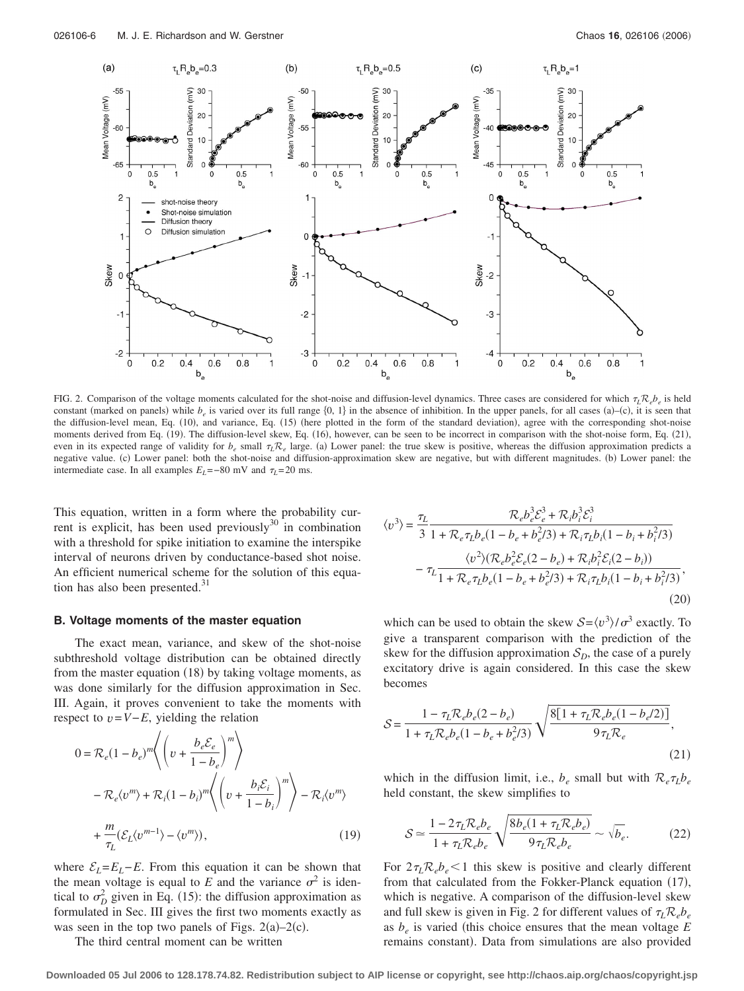

FIG. 2. Comparison of the voltage moments calculated for the shot-noise and diffusion-level dynamics. Three cases are considered for which  $\tau_L \mathcal{R}_e b_e$  is held constant (marked on panels) while  $b_e$  is varied over its full range  $\{0, 1\}$  in the absence of inhibition. In the upper panels, for all cases (a)–(c), it is seen that the diffusion-level mean, Eq. (10), and variance, Eq. (15) (here plotted in the form of the standard deviation), agree with the corresponding shot-noise moments derived from Eq. (19). The diffusion-level skew, Eq. (16), however, can be seen to be incorrect in comparison with the shot-noise form, Eq. (21), even in its expected range of validity for  $b_e$  small  $\tau_L \mathcal{R}_e$  large. (a) Lower panel: the true skew is positive, whereas the diffusion approximation predicts a negative value. (c) Lower panel: both the shot-noise and diffusion-approximation skew are negative, but with different magnitudes. (b) Lower panel: the intermediate case. In all examples  $E_L$ =−80 mV and  $\tau_L$ =20 ms.

This equation, written in a form where the probability current is explicit, has been used previously $30$  in combination with a threshold for spike initiation to examine the interspike interval of neurons driven by conductance-based shot noise. An efficient numerical scheme for the solution of this equation has also been presented. $31$ 

#### **B. Voltage moments of the master equation**

The exact mean, variance, and skew of the shot-noise subthreshold voltage distribution can be obtained directly from the master equation (18) by taking voltage moments, as was done similarly for the diffusion approximation in Sec. III. Again, it proves convenient to take the moments with respect to  $v = V - E$ , yielding the relation

$$
0 = \mathcal{R}_e (1 - b_e)^m \left\langle \left( v + \frac{b_e \mathcal{E}_e}{1 - b_e} \right)^m \right\rangle
$$
  
-  $\mathcal{R}_e \langle v^m \rangle + \mathcal{R}_i (1 - b_i)^m \left\langle \left( v + \frac{b_i \mathcal{E}_i}{1 - b_i} \right)^m \right\rangle - \mathcal{R}_i \langle v^m \rangle$   
+  $\frac{m}{\tau_L} (\mathcal{E}_L \langle v^{m-1} \rangle - \langle v^m \rangle),$  (19)

where  $\mathcal{E}_L = E_L - E$ . From this equation it can be shown that the mean voltage is equal to E and the variance  $\sigma^2$  is identical to  $\sigma_D^2$  given in Eq. (15): the diffusion approximation as formulated in Sec. III gives the first two moments exactly as was seen in the top two panels of Figs.  $2(a)-2(c)$ .

The third central moment can be written

$$
\langle v^3 \rangle = \frac{\tau_L}{3} \frac{\mathcal{R}_e b_e^3 \mathcal{E}_e^3 + \mathcal{R}_i b_i^3 \mathcal{E}_i^3}{1 + \mathcal{R}_e \tau_L b_e (1 - b_e + b_e^2/3) + \mathcal{R}_i \tau_L b_i (1 - b_i + b_i^2/3)}
$$

$$
- \tau_L \frac{\langle v^2 \rangle (\mathcal{R}_e b_e^2 \mathcal{E}_e (2 - b_e) + \mathcal{R}_i b_i^2 \mathcal{E}_i (2 - b_i))}{1 + \mathcal{R}_e \tau_L b_e (1 - b_e + b_e^2/3) + \mathcal{R}_i \tau_L b_i (1 - b_i + b_i^2/3)},
$$
(20)

which can be used to obtain the skew  $S = \langle v^3 \rangle / \sigma^3$  exactly. To give a transparent comparison with the prediction of the skew for the diffusion approximation  $S<sub>D</sub>$ , the case of a purely excitatory drive is again considered. In this case the skew becomes

$$
S = \frac{1 - \tau_L \mathcal{R}_e b_e (2 - b_e)}{1 + \tau_L \mathcal{R}_e b_e (1 - b_e + b_e^2 / 3)} \sqrt{\frac{8[1 + \tau_L \mathcal{R}_e b_e (1 - b_e / 2)]}{9 \tau_L \mathcal{R}_e}},
$$
\n(21)

which in the diffusion limit, i.e.,  $b_e$  small but with  $\mathcal{R}_e\tau_L b_e$ held constant, the skew simplifies to

$$
S \simeq \frac{1 - 2\tau_L \mathcal{R}_e b_e}{1 + \tau_L \mathcal{R}_e b_e} \sqrt{\frac{8b_e (1 + \tau_L \mathcal{R}_e b_e)}{9\tau_L \mathcal{R}_e b_e}} \sim \sqrt{b_e}.
$$
 (22)

For  $2\tau_L \mathcal{R}_e b_e$  < 1 this skew is positive and clearly different from that calculated from the Fokker-Planck equation (17), which is negative. A comparison of the diffusion-level skew and full skew is given in Fig. 2 for different values of  $\tau_L \mathcal{R}_e b_e$ as  $b_e$  is varied (this choice ensures that the mean voltage  $E$ remains constant). Data from simulations are also provided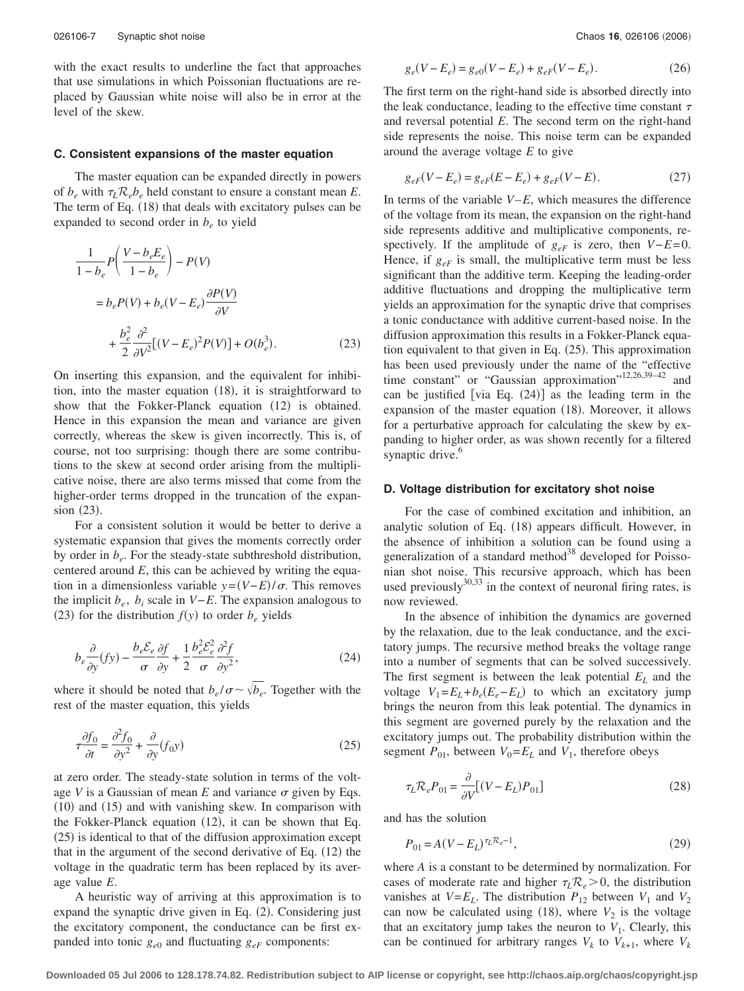with the exact results to underline the fact that approaches that use simulations in which Poissonian fluctuations are replaced by Gaussian white noise will also be in error at the level of the skew.

#### **C. Consistent expansions of the master equation**

The master equation can be expanded directly in powers of  $b_e$  with  $\tau_L \mathcal{R}_e b_e$  held constant to ensure a constant mean *E*. The term of Eq. (18) that deals with excitatory pulses can be expanded to second order in  $b_e$  to yield

$$
\frac{1}{1-b_e}P\left(\frac{V-b_eE_e}{1-b_e}\right) - P(V)
$$
\n
$$
= b_eP(V) + b_e(V-E_e)\frac{\partial P(V)}{\partial V}
$$
\n
$$
+ \frac{b_e^2}{2}\frac{\partial^2}{\partial V^2}[(V-E_e)^2P(V)] + O(b_e^3).
$$
\n(23)

On inserting this expansion, and the equivalent for inhibition, into the master equation (18), it is straightforward to show that the Fokker-Planck equation (12) is obtained. Hence in this expansion the mean and variance are given correctly, whereas the skew is given incorrectly. This is, of course, not too surprising: though there are some contributions to the skew at second order arising from the multiplicative noise, there are also terms missed that come from the higher-order terms dropped in the truncation of the expansion (23).

For a consistent solution it would be better to derive a systematic expansion that gives the moments correctly order by order in  $b_e$ . For the steady-state subthreshold distribution, centered around *E*, this can be achieved by writing the equation in a dimensionless variable  $y = (V - E)/\sigma$ . This removes the implicit  $b_e$ ,  $b_i$  scale in *V−E*. The expansion analogous to (23) for the distribution  $f(y)$  to order  $b_e$  yields

$$
b_e \frac{\partial}{\partial y}(fy) - \frac{b_e \mathcal{E}_e}{\sigma} \frac{\partial f}{\partial y} + \frac{1}{2} \frac{b_e^2 \mathcal{E}_e^2}{\sigma} \frac{\partial^2 f}{\partial y^2},\tag{24}
$$

where it should be noted that  $b_e/\sigma \sim \sqrt{b_e}$ . Together with the rest of the master equation, this yields

$$
\tau \frac{\partial f_0}{\partial t} = \frac{\partial^2 f_0}{\partial y^2} + \frac{\partial}{\partial y} (f_0 y) \tag{25}
$$

at zero order. The steady-state solution in terms of the voltage *V* is a Gaussian of mean *E* and variance  $\sigma$  given by Eqs. (10) and (15) and with vanishing skew. In comparison with the Fokker-Planck equation (12), it can be shown that Eq. (25) is identical to that of the diffusion approximation except that in the argument of the second derivative of Eq. (12) the voltage in the quadratic term has been replaced by its average value *E*.

A heuristic way of arriving at this approximation is to expand the synaptic drive given in Eq. (2). Considering just the excitatory component, the conductance can be first expanded into tonic  $g_{e0}$  and fluctuating  $g_{eF}$  components:

$$
g_e(V - E_e) = g_{e0}(V - E_e) + g_{eF}(V - E_e).
$$
 (26)

The first term on the right-hand side is absorbed directly into the leak conductance, leading to the effective time constant  $\tau$ and reversal potential *E*. The second term on the right-hand side represents the noise. This noise term can be expanded around the average voltage *E* to give

$$
g_{eF}(V - E_e) = g_{eF}(E - E_e) + g_{eF}(V - E). \tag{27}
$$

In terms of the variable  $V-E$ , which measures the difference of the voltage from its mean, the expansion on the right-hand side represents additive and multiplicative components, respectively. If the amplitude of  $g_{eF}$  is zero, then  $V-E=0$ . Hence, if  $g_{eF}$  is small, the multiplicative term must be less significant than the additive term. Keeping the leading-order additive fluctuations and dropping the multiplicative term yields an approximation for the synaptic drive that comprises a tonic conductance with additive current-based noise. In the diffusion approximation this results in a Fokker-Planck equation equivalent to that given in Eq. (25). This approximation has been used previously under the name of the "effective time constant" or "Gaussian approximation"<sup>12,26,39-42</sup> and can be justified [via Eq.  $(24)$ ] as the leading term in the expansion of the master equation (18). Moreover, it allows for a perturbative approach for calculating the skew by expanding to higher order, as was shown recently for a filtered synaptic drive.<sup>6</sup>

#### **D. Voltage distribution for excitatory shot noise**

For the case of combined excitation and inhibition, an analytic solution of Eq. (18) appears difficult. However, in the absence of inhibition a solution can be found using a generalization of a standard method<sup>38</sup> developed for Poissonian shot noise. This recursive approach, which has been used previously $^{30,33}$  in the context of neuronal firing rates, is now reviewed.

In the absence of inhibition the dynamics are governed by the relaxation, due to the leak conductance, and the excitatory jumps. The recursive method breaks the voltage range into a number of segments that can be solved successively. The first segment is between the leak potential  $E_L$  and the voltage  $V_1 = E_L + b_e(E_e - E_L)$  to which an excitatory jump brings the neuron from this leak potential. The dynamics in this segment are governed purely by the relaxation and the excitatory jumps out. The probability distribution within the segment  $P_{01}$ , between  $V_0 = E_L$  and  $V_1$ , therefore obeys

$$
\tau_L \mathcal{R}_e P_{01} = \frac{\partial}{\partial V} [(V - E_L) P_{01}]
$$
\n(28)

and has the solution

$$
P_{01} = A(V - E_L)^{\tau_L \mathcal{R}_e - 1},\tag{29}
$$

where *A* is a constant to be determined by normalization. For cases of moderate rate and higher  $\tau_L \mathcal{R}_e > 0$ , the distribution vanishes at  $V = E_L$ . The distribution  $P_{12}$  between  $V_1$  and  $V_2$ can now be calculated using  $(18)$ , where  $V_2$  is the voltage that an excitatory jump takes the neuron to  $V_1$ . Clearly, this can be continued for arbitrary ranges  $V_k$  to  $V_{k+1}$ , where  $V_k$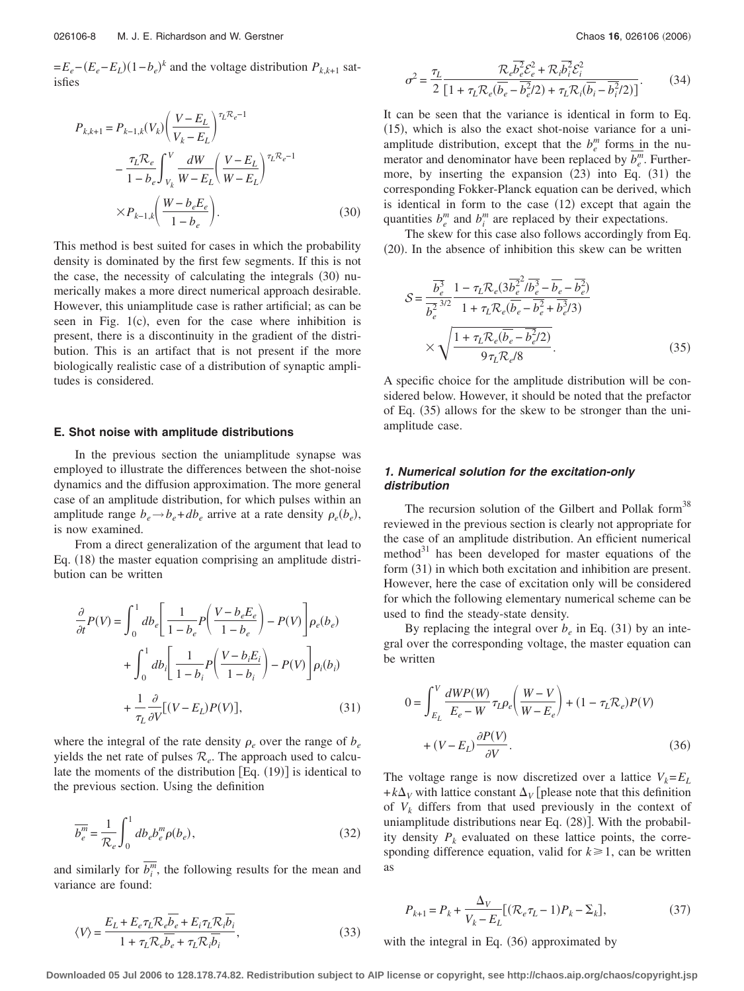$=E_e-(E_e-E_L)(1-b_e)^k$  and the voltage distribution  $P_{k,k+1}$  satisfies

$$
P_{k,k+1} = P_{k-1,k}(V_k) \left( \frac{V - E_L}{V_k - E_L} \right)^{\tau_L \mathcal{R}_e - 1}
$$

$$
- \frac{\tau_L \mathcal{R}_e}{1 - b_e} \int_{V_k}^V \frac{dW}{W - E_L} \left( \frac{V - E_L}{W - E_L} \right)^{\tau_L \mathcal{R}_e - 1}
$$

$$
\times P_{k-1,k} \left( \frac{W - b_e E_e}{1 - b_e} \right). \tag{30}
$$

This method is best suited for cases in which the probability density is dominated by the first few segments. If this is not the case, the necessity of calculating the integrals (30) numerically makes a more direct numerical approach desirable. However, this uniamplitude case is rather artificial; as can be seen in Fig.  $1(c)$ , even for the case where inhibition is present, there is a discontinuity in the gradient of the distribution. This is an artifact that is not present if the more biologically realistic case of a distribution of synaptic amplitudes is considered.

#### **E. Shot noise with amplitude distributions**

In the previous section the uniamplitude synapse was employed to illustrate the differences between the shot-noise dynamics and the diffusion approximation. The more general case of an amplitude distribution, for which pulses within an amplitude range  $b_e \rightarrow b_e + db_e$  arrive at a rate density  $\rho_e(b_e)$ , is now examined.

From a direct generalization of the argument that lead to Eq. (18) the master equation comprising an amplitude distribution can be written

$$
\frac{\partial}{\partial t}P(V) = \int_0^1 db_e \left[ \frac{1}{1 - b_e} P\left(\frac{V - b_e E_e}{1 - b_e}\right) - P(V) \right] \rho_e(b_e)
$$

$$
+ \int_0^1 db_i \left[ \frac{1}{1 - b_i} P\left(\frac{V - b_i E_i}{1 - b_i}\right) - P(V) \right] \rho_i(b_i)
$$

$$
+ \frac{1}{\tau_L} \frac{\partial}{\partial V} [(V - E_L) P(V)], \tag{31}
$$

where the integral of the rate density  $\rho_e$  over the range of  $b_e$ yields the net rate of pulses  $\mathcal{R}_e$ . The approach used to calculate the moments of the distribution  $[Eq. (19)]$  is identical to the previous section. Using the definition

$$
\overline{b_e^m} = \frac{1}{\mathcal{R}_e} \int_0^1 d b_e b_e^m \rho(b_e), \qquad (32)
$$

and similarly for  $\overline{b_i^m}$ , the following results for the mean and variance are found:

$$
\sigma^2 = \frac{\tau_L}{2} \frac{\mathcal{R}_e \overline{b_e^2} \mathcal{E}_e^2 + \mathcal{R}_i \overline{b_i^2} \mathcal{E}_i^2}{\left[1 + \tau_L \mathcal{R}_e (\overline{b_e} - \overline{b_e^2}/2) + \tau_L \mathcal{R}_i (\overline{b_i} - \overline{b_i^2}/2)\right]}.
$$
(34)

It can be seen that the variance is identical in form to Eq. (15), which is also the exact shot-noise variance for a uniamplitude distribution, except that the  $b_e^m$  forms in the numerator and denominator have been replaced by  $\overline{b_e^m}$ . Furthermore, by inserting the expansion  $(23)$  into Eq.  $(31)$  the corresponding Fokker-Planck equation can be derived, which is identical in form to the case  $(12)$  except that again the quantities  $b_e^m$  and  $b_i^m$  are replaced by their expectations.

The skew for this case also follows accordingly from Eq. (20). In the absence of inhibition this skew can be written

$$
S = \frac{\overline{b_e^3}}{b_e^2} \frac{1 - \tau_L \mathcal{R}_e (3 \overline{b_e^2}^2 / \overline{b_e^3} - \overline{b_e} - \overline{b_e^2})}{1 + \tau_L \mathcal{R}_e (\overline{b_e} - \overline{b_e^2} + \overline{b_e^3}/3)}
$$

$$
\times \sqrt{\frac{1 + \tau_L \mathcal{R}_e (\overline{b_e} - \overline{b_e^2}/2)}{9 \tau_L \mathcal{R}_e / 8}}.
$$
(35)

A specific choice for the amplitude distribution will be considered below. However, it should be noted that the prefactor of Eq. (35) allows for the skew to be stronger than the uniamplitude case.

## *1. Numerical solution for the excitation-only distribution*

The recursion solution of the Gilbert and Pollak form $38$ reviewed in the previous section is clearly not appropriate for the case of an amplitude distribution. An efficient numerical method $31$  has been developed for master equations of the form (31) in which both excitation and inhibition are present. However, here the case of excitation only will be considered for which the following elementary numerical scheme can be used to find the steady-state density.

By replacing the integral over  $b_e$  in Eq. (31) by an integral over the corresponding voltage, the master equation can be written

$$
0 = \int_{E_L}^{V} \frac{dWP(W)}{E_e - W} \tau_L \rho_e \left(\frac{W - V}{W - E_e}\right) + (1 - \tau_L \mathcal{R}_e) P(V)
$$

$$
+ (V - E_L) \frac{\partial P(V)}{\partial V}.
$$
(36)

The voltage range is now discretized over a lattice  $V_k = E_L$  $+k\Delta_V$  with lattice constant  $\Delta_V$  [please note that this definition of *Vk* differs from that used previously in the context of uniamplitude distributions near Eq. (28)]. With the probability density  $P_k$  evaluated on these lattice points, the corresponding difference equation, valid for  $k \geq 1$ , can be written as

$$
P_{k+1} = P_k + \frac{\Delta_V}{V_k - E_L} [(\mathcal{R}_e \tau_L - 1) P_k - \Sigma_k],
$$
\n(37)

with the integral in Eq. (36) approximated by

**Downloaded 05 Jul 2006 to 128.178.74.82. Redistribution subject to AIP license or copyright, see http://chaos.aip.org/chaos/copyright.jsp**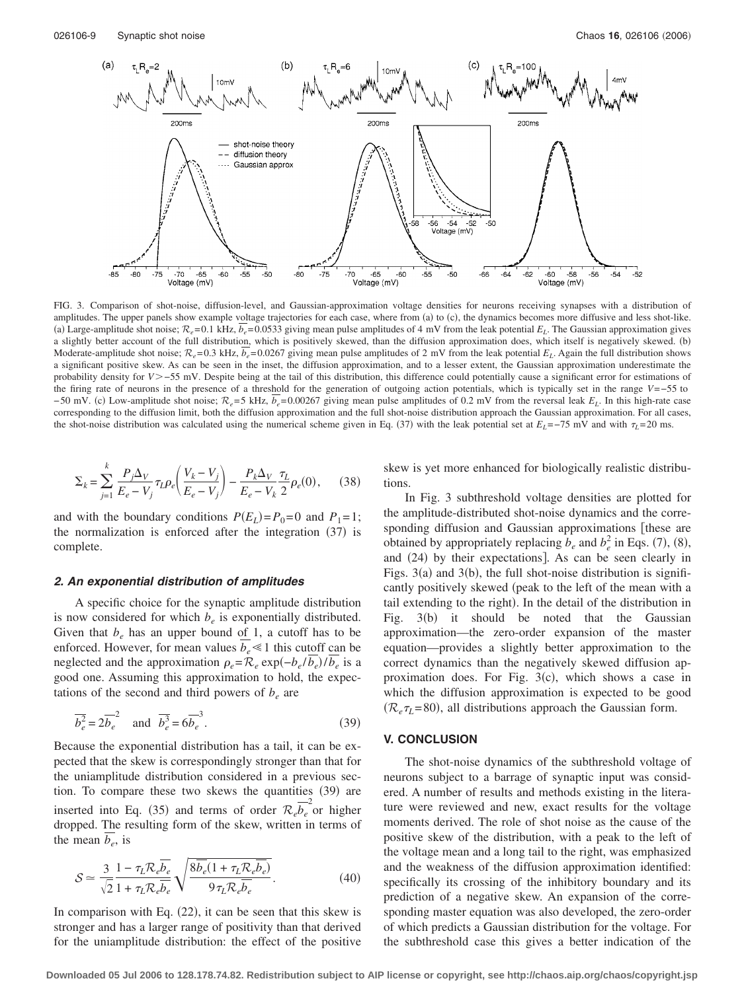

FIG. 3. Comparison of shot-noise, diffusion-level, and Gaussian-approximation voltage densities for neurons receiving synapses with a distribution of amplitudes. The upper panels show example voltage trajectories for each case, where from (a) to (c), the dynamics becomes more diffusive and less shot-like. (a) Large-amplitude shot noise;  $\mathcal{R}_e$ =0.1 kHz,  $b_e$ =0.0533 giving mean pulse amplitudes of 4 mV from the leak potential  $E_L$ . The Gaussian approximation gives a slightly better account of the full distribution, which is positively skewed, than the diffusion approximation does, which itself is negatively skewed. (b) Moderate-amplitude shot noise;  $\mathcal{R}_e$ = 0.3 kHz,  $\overline{b_e}$ = 0.0267 giving mean pulse amplitudes of 2 mV from the leak potential  $E_L$ . Again the full distribution shows a significant positive skew. As can be seen in the inset, the diffusion approximation, and to a lesser extent, the Gaussian approximation underestimate the probability density for *V*>−55 mV. Despite being at the tail of this distribution, this difference could potentially cause a significant error for estimations of the firing rate of neurons in the presence of a threshold for the generation of outgoing action potentials, which is typically set in the range *V*=−55 to −50 mV. (c) Low-amplitude shot noise;  $\mathcal{R}_e$ =5 kHz,  $b_e$ =0.00267 giving mean pulse amplitudes of 0.2 mV from the reversal leak *E<sub>L</sub>*. In this high-rate case corresponding to the diffusion limit, both the diffusion approximation and the full shot-noise distribution approach the Gaussian approximation. For all cases, the shot-noise distribution was calculated using the numerical scheme given in Eq. (37) with the leak potential set at  $E_L$ =−75 mV and with  $\tau_L$ =20 ms.

$$
\Sigma_{k} = \sum_{j=1}^{k} \frac{P_{j} \Delta_{V}}{E_{e} - V_{j}} \tau_{L} \rho_{e} \left( \frac{V_{k} - V_{j}}{E_{e} - V_{j}} \right) - \frac{P_{k} \Delta_{V}}{E_{e} - V_{k}} \frac{\tau_{L}}{2} \rho_{e}(0), \quad (38)
$$

and with the boundary conditions  $P(E_L) = P_0 = 0$  and  $P_1 = 1$ ; the normalization is enforced after the integration (37) is complete.

#### *2. An exponential distribution of amplitudes*

A specific choice for the synaptic amplitude distribution is now considered for which  $b_e$  is exponentially distributed. Given that  $b_e$  has an upper bound of 1, a cutoff has to be enforced. However, for mean values  $b_e \ll 1$  this cutoff can be neglected and the approximation  $\rho_e = \mathcal{R}_e \exp(-b_e / b_e) / b_e$  is a good one. Assuming this approximation to hold, the expectations of the second and third powers of  $b_e$  are

$$
\overline{b_e^2} = 2\overline{b_e}^2 \quad \text{and} \quad \overline{b_e^3} = 6\overline{b_e}^3. \tag{39}
$$

Because the exponential distribution has a tail, it can be expected that the skew is correspondingly stronger than that for the uniamplitude distribution considered in a previous section. To compare these two skews the quantities (39) are inserted into Eq. (35) and terms of order  $\mathcal{R}_e \overline{b_e}^2$  or higher dropped. The resulting form of the skew, written in terms of the mean  $\overline{b_e}$ , is

$$
S \simeq \frac{3}{\sqrt{2}} \frac{1 - \tau_L \mathcal{R}_e \overline{b}_e}{1 + \tau_L \mathcal{R}_e \overline{b}_e} \sqrt{\frac{8 \overline{b}_e (1 + \tau_L \mathcal{R}_e \overline{b}_e)}{9 \tau_L \mathcal{R}_e \overline{b}_e}}.
$$
(40)

In comparison with Eq.  $(22)$ , it can be seen that this skew is stronger and has a larger range of positivity than that derived for the uniamplitude distribution: the effect of the positive

skew is yet more enhanced for biologically realistic distributions.

In Fig. 3 subthreshold voltage densities are plotted for the amplitude-distributed shot-noise dynamics and the corresponding diffusion and Gaussian approximations [these are obtained by appropriately replacing  $b_e$  and  $b_e^2$  in Eqs. (7), (8), and (24) by their expectations]. As can be seen clearly in Figs.  $3(a)$  and  $3(b)$ , the full shot-noise distribution is significantly positively skewed (peak to the left of the mean with a tail extending to the right). In the detail of the distribution in Fig. 3(b) it should be noted that the Gaussian approximation—the zero-order expansion of the master equation—provides a slightly better approximation to the correct dynamics than the negatively skewed diffusion approximation does. For Fig.  $3(c)$ , which shows a case in which the diffusion approximation is expected to be good  $(\mathcal{R}_e \tau_L = 80)$ , all distributions approach the Gaussian form.

#### **V. CONCLUSION**

The shot-noise dynamics of the subthreshold voltage of neurons subject to a barrage of synaptic input was considered. A number of results and methods existing in the literature were reviewed and new, exact results for the voltage moments derived. The role of shot noise as the cause of the positive skew of the distribution, with a peak to the left of the voltage mean and a long tail to the right, was emphasized and the weakness of the diffusion approximation identified: specifically its crossing of the inhibitory boundary and its prediction of a negative skew. An expansion of the corresponding master equation was also developed, the zero-order of which predicts a Gaussian distribution for the voltage. For the subthreshold case this gives a better indication of the